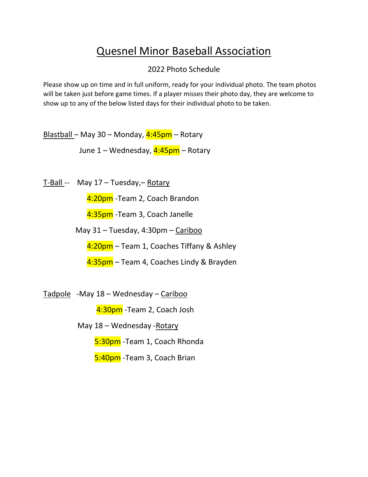## Quesnel Minor Baseball Association

## 2022 Photo Schedule

Please show up on time and in full uniform, ready for your individual photo. The team photos will be taken just before game times. If a player misses their photo day, they are welcome to show up to any of the below listed days for their individual photo to be taken.

Blastball – May 30 – Monday, 4:45pm – Rotary

June 1 – Wednesday, 4:45pm – Rotary

T-Ball -- May 17 – Tuesday,– Rotary

4:20pm -Team 2, Coach Brandon

4:35pm - Team 3, Coach Janelle

May 31 – Tuesday, 4:30pm – Cariboo

4:20pm – Team 1, Coaches Tiffany & Ashley

4:35pm – Team 4, Coaches Lindy & Brayden

Tadpole -May 18 – Wednesday – Cariboo

4:30pm - Team 2, Coach Josh

May 18 – Wednesday -Rotary

5:30pm -Team 1, Coach Rhonda

5:40pm - Team 3, Coach Brian